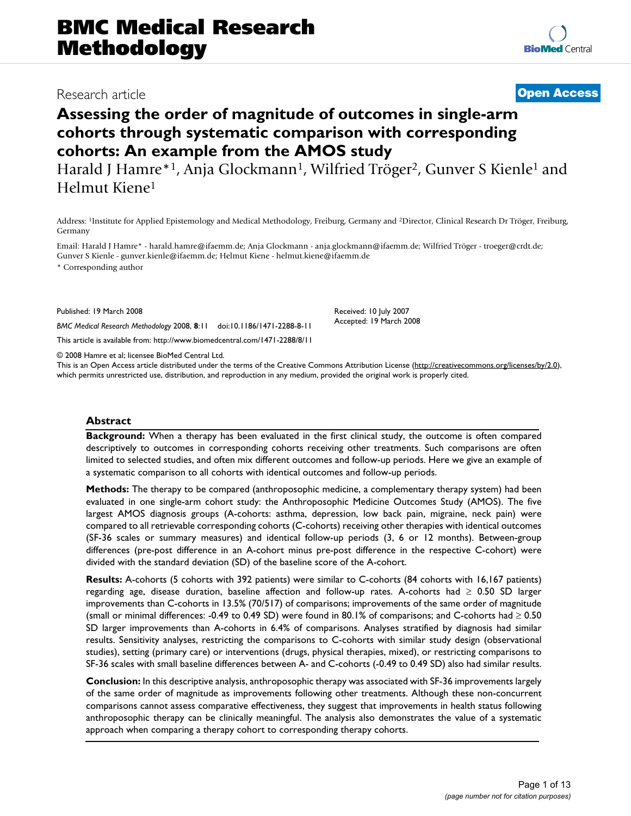# Research article **[Open Access](http://www.biomedcentral.com/info/about/charter/)**

# **Assessing the order of magnitude of outcomes in single-arm cohorts through systematic comparison with corresponding cohorts: An example from the AMOS study**

Harald J Hamre\*<sup>1</sup>, Anja Glockmann<sup>1</sup>, Wilfried Tröger<sup>2</sup>, Gunver S Kienle<sup>1</sup> and Helmut Kiene1

Address: 1Institute for Applied Epistemology and Medical Methodology, Freiburg, Germany and 2Director, Clinical Research Dr Tröger, Freiburg, Germany

Email: Harald J Hamre\* - harald.hamre@ifaemm.de; Anja Glockmann - anja.glockmann@ifaemm.de; Wilfried Tröger - troeger@crdt.de; Gunver S Kienle - gunver.kienle@ifaemm.de; Helmut Kiene - helmut.kiene@ifaemm.de

\* Corresponding author

Published: 19 March 2008

*BMC Medical Research Methodology* 2008, **8**:11 doi:10.1186/1471-2288-8-11

[This article is available from: http://www.biomedcentral.com/1471-2288/8/11](http://www.biomedcentral.com/1471-2288/8/11)

© 2008 Hamre et al; licensee BioMed Central Ltd.

This is an Open Access article distributed under the terms of the Creative Commons Attribution License [\(http://creativecommons.org/licenses/by/2.0\)](http://creativecommons.org/licenses/by/2.0), which permits unrestricted use, distribution, and reproduction in any medium, provided the original work is properly cited.

Received: 10 July 2007 Accepted: 19 March 2008

#### **Abstract**

**Background:** When a therapy has been evaluated in the first clinical study, the outcome is often compared descriptively to outcomes in corresponding cohorts receiving other treatments. Such comparisons are often limited to selected studies, and often mix different outcomes and follow-up periods. Here we give an example of a systematic comparison to all cohorts with identical outcomes and follow-up periods.

**Methods:** The therapy to be compared (anthroposophic medicine, a complementary therapy system) had been evaluated in one single-arm cohort study: the Anthroposophic Medicine Outcomes Study (AMOS). The five largest AMOS diagnosis groups (A-cohorts: asthma, depression, low back pain, migraine, neck pain) were compared to all retrievable corresponding cohorts (C-cohorts) receiving other therapies with identical outcomes (SF-36 scales or summary measures) and identical follow-up periods (3, 6 or 12 months). Between-group differences (pre-post difference in an A-cohort minus pre-post difference in the respective C-cohort) were divided with the standard deviation (SD) of the baseline score of the A-cohort.

**Results:** A-cohorts (5 cohorts with 392 patients) were similar to C-cohorts (84 cohorts with 16,167 patients) regarding age, disease duration, baseline affection and follow-up rates. A-cohorts had  $\geq 0.50$  SD larger improvements than C-cohorts in 13.5% (70/517) of comparisons; improvements of the same order of magnitude (small or minimal differences: -0.49 to 0.49 SD) were found in 80.1% of comparisons; and C-cohorts had  $\geq$  0.50 SD larger improvements than A-cohorts in 6.4% of comparisons. Analyses stratified by diagnosis had similar results. Sensitivity analyses, restricting the comparisons to C-cohorts with similar study design (observational studies), setting (primary care) or interventions (drugs, physical therapies, mixed), or restricting comparisons to SF-36 scales with small baseline differences between A- and C-cohorts (-0.49 to 0.49 SD) also had similar results.

**Conclusion:** In this descriptive analysis, anthroposophic therapy was associated with SF-36 improvements largely of the same order of magnitude as improvements following other treatments. Although these non-concurrent comparisons cannot assess comparative effectiveness, they suggest that improvements in health status following anthroposophic therapy can be clinically meaningful. The analysis also demonstrates the value of a systematic approach when comparing a therapy cohort to corresponding therapy cohorts.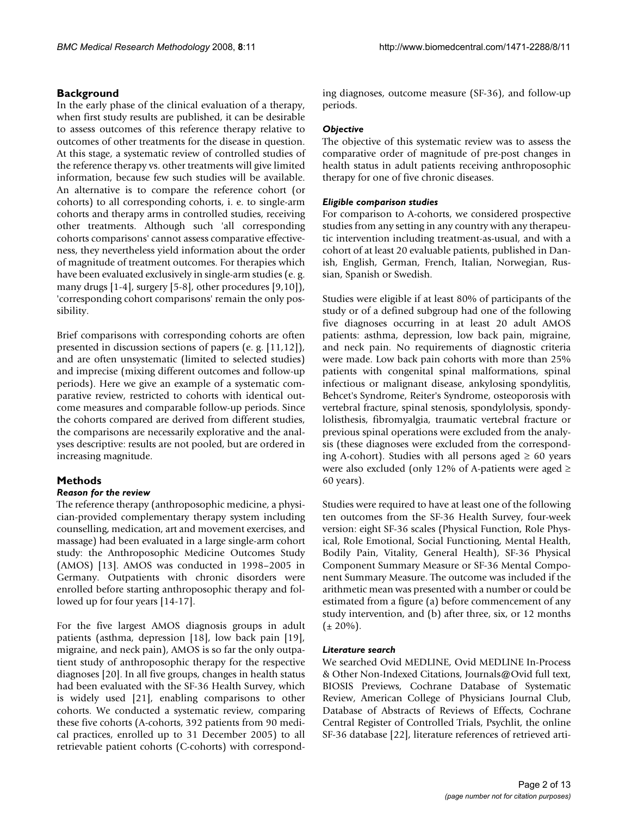# **Background**

In the early phase of the clinical evaluation of a therapy, when first study results are published, it can be desirable to assess outcomes of this reference therapy relative to outcomes of other treatments for the disease in question. At this stage, a systematic review of controlled studies of the reference therapy vs. other treatments will give limited information, because few such studies will be available. An alternative is to compare the reference cohort (or cohorts) to all corresponding cohorts, i. e. to single-arm cohorts and therapy arms in controlled studies, receiving other treatments. Although such 'all corresponding cohorts comparisons' cannot assess comparative effectiveness, they nevertheless yield information about the order of magnitude of treatment outcomes. For therapies which have been evaluated exclusively in single-arm studies (e. g. many drugs [1-4], surgery [5-8], other procedures [9,10]), 'corresponding cohort comparisons' remain the only possibility.

Brief comparisons with corresponding cohorts are often presented in discussion sections of papers (e. g. [11,12]), and are often unsystematic (limited to selected studies) and imprecise (mixing different outcomes and follow-up periods). Here we give an example of a systematic comparative review, restricted to cohorts with identical outcome measures and comparable follow-up periods. Since the cohorts compared are derived from different studies, the comparisons are necessarily explorative and the analyses descriptive: results are not pooled, but are ordered in increasing magnitude.

# **Methods**

# *Reason for the review*

The reference therapy (anthroposophic medicine, a physician-provided complementary therapy system including counselling, medication, art and movement exercises, and massage) had been evaluated in a large single-arm cohort study: the Anthroposophic Medicine Outcomes Study (AMOS) [13]. AMOS was conducted in 1998–2005 in Germany. Outpatients with chronic disorders were enrolled before starting anthroposophic therapy and followed up for four years [14-17].

For the five largest AMOS diagnosis groups in adult patients (asthma, depression [18], low back pain [19], migraine, and neck pain), AMOS is so far the only outpatient study of anthroposophic therapy for the respective diagnoses [20]. In all five groups, changes in health status had been evaluated with the SF-36 Health Survey, which is widely used [21], enabling comparisons to other cohorts. We conducted a systematic review, comparing these five cohorts (A-cohorts, 392 patients from 90 medical practices, enrolled up to 31 December 2005) to all retrievable patient cohorts (C-cohorts) with corresponding diagnoses, outcome measure (SF-36), and follow-up periods.

# *Objective*

The objective of this systematic review was to assess the comparative order of magnitude of pre-post changes in health status in adult patients receiving anthroposophic therapy for one of five chronic diseases.

# *Eligible comparison studies*

For comparison to A-cohorts, we considered prospective studies from any setting in any country with any therapeutic intervention including treatment-as-usual, and with a cohort of at least 20 evaluable patients, published in Danish, English, German, French, Italian, Norwegian, Russian, Spanish or Swedish.

Studies were eligible if at least 80% of participants of the study or of a defined subgroup had one of the following five diagnoses occurring in at least 20 adult AMOS patients: asthma, depression, low back pain, migraine, and neck pain. No requirements of diagnostic criteria were made. Low back pain cohorts with more than 25% patients with congenital spinal malformations, spinal infectious or malignant disease, ankylosing spondylitis, Behcet's Syndrome, Reiter's Syndrome, osteoporosis with vertebral fracture, spinal stenosis, spondylolysis, spondylolisthesis, fibromyalgia, traumatic vertebral fracture or previous spinal operations were excluded from the analysis (these diagnoses were excluded from the corresponding A-cohort). Studies with all persons aged  $\geq 60$  years were also excluded (only 12% of A-patients were aged  $\geq$ 60 years).

Studies were required to have at least one of the following ten outcomes from the SF-36 Health Survey, four-week version: eight SF-36 scales (Physical Function, Role Physical, Role Emotional, Social Functioning, Mental Health, Bodily Pain, Vitality, General Health), SF-36 Physical Component Summary Measure or SF-36 Mental Component Summary Measure. The outcome was included if the arithmetic mean was presented with a number or could be estimated from a figure (a) before commencement of any study intervention, and (b) after three, six, or 12 months  $(\pm 20\%)$ .

#### *Literature search*

We searched Ovid MEDLINE, Ovid MEDLINE In-Process & Other Non-Indexed Citations, Journals@Ovid full text, BIOSIS Previews, Cochrane Database of Systematic Review, American College of Physicians Journal Club, Database of Abstracts of Reviews of Effects, Cochrane Central Register of Controlled Trials, Psychlit, the online SF-36 database [22], literature references of retrieved arti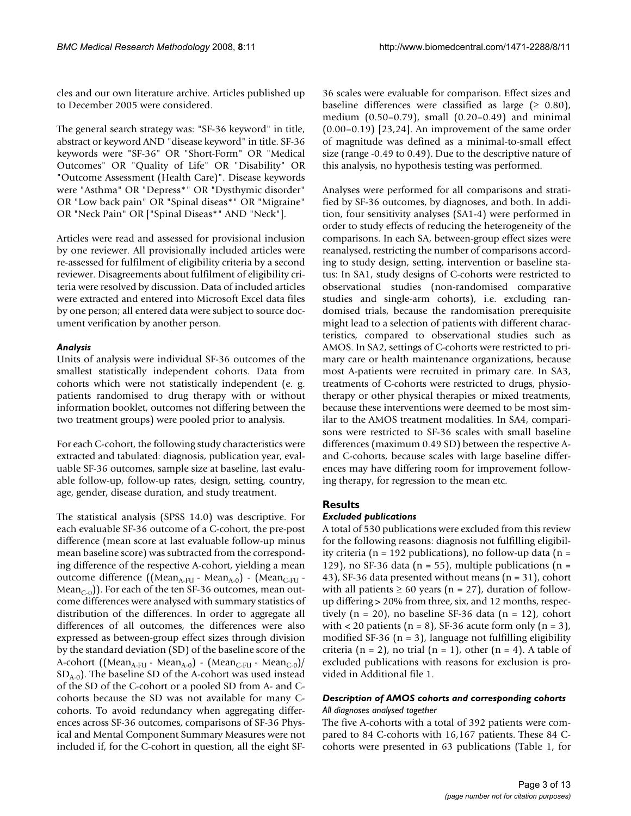cles and our own literature archive. Articles published up to December 2005 were considered.

The general search strategy was: "SF-36 keyword" in title, abstract or keyword AND "disease keyword" in title. SF-36 keywords were "SF-36" OR "Short-Form" OR "Medical Outcomes" OR "Quality of Life" OR "Disability" OR "Outcome Assessment (Health Care)". Disease keywords were "Asthma" OR "Depress\*" OR "Dysthymic disorder" OR "Low back pain" OR "Spinal diseas\*" OR "Migraine" OR "Neck Pain" OR ["Spinal Diseas\*" AND "Neck"].

Articles were read and assessed for provisional inclusion by one reviewer. All provisionally included articles were re-assessed for fulfilment of eligibility criteria by a second reviewer. Disagreements about fulfilment of eligibility criteria were resolved by discussion. Data of included articles were extracted and entered into Microsoft Excel data files by one person; all entered data were subject to source document verification by another person.

### *Analysis*

Units of analysis were individual SF-36 outcomes of the smallest statistically independent cohorts. Data from cohorts which were not statistically independent (e. g. patients randomised to drug therapy with or without information booklet, outcomes not differing between the two treatment groups) were pooled prior to analysis.

For each C-cohort, the following study characteristics were extracted and tabulated: diagnosis, publication year, evaluable SF-36 outcomes, sample size at baseline, last evaluable follow-up, follow-up rates, design, setting, country, age, gender, disease duration, and study treatment.

The statistical analysis (SPSS 14.0) was descriptive. For each evaluable SF-36 outcome of a C-cohort, the pre-post difference (mean score at last evaluable follow-up minus mean baseline score) was subtracted from the corresponding difference of the respective A-cohort, yielding a mean outcome difference ((Mean<sub>A-FU</sub> - Mean<sub>A-0</sub>) - (Mean<sub>C-FU</sub> - $Mean_{C-0}$ ). For each of the ten SF-36 outcomes, mean outcome differences were analysed with summary statistics of distribution of the differences. In order to aggregate all differences of all outcomes, the differences were also expressed as between-group effect sizes through division by the standard deviation (SD) of the baseline score of the A-cohort ((Mean<sub>A-FU</sub> - Mean<sub>A-0</sub>) - (Mean<sub>C-FU</sub> - Mean<sub>C-0</sub>)/  $SD<sub>A-0</sub>$ ). The baseline SD of the A-cohort was used instead of the SD of the C-cohort or a pooled SD from A- and Ccohorts because the SD was not available for many Ccohorts. To avoid redundancy when aggregating differences across SF-36 outcomes, comparisons of SF-36 Physical and Mental Component Summary Measures were not included if, for the C-cohort in question, all the eight SF-

36 scales were evaluable for comparison. Effect sizes and baseline differences were classified as large  $(≥ 0.80)$ , medium (0.50–0.79), small (0.20–0.49) and minimal (0.00–0.19) [23,24]. An improvement of the same order of magnitude was defined as a minimal-to-small effect size (range -0.49 to 0.49). Due to the descriptive nature of this analysis, no hypothesis testing was performed.

Analyses were performed for all comparisons and stratified by SF-36 outcomes, by diagnoses, and both. In addition, four sensitivity analyses (SA1-4) were performed in order to study effects of reducing the heterogeneity of the comparisons. In each SA, between-group effect sizes were reanalysed, restricting the number of comparisons according to study design, setting, intervention or baseline status: In SA1, study designs of C-cohorts were restricted to observational studies (non-randomised comparative studies and single-arm cohorts), i.e. excluding randomised trials, because the randomisation prerequisite might lead to a selection of patients with different characteristics, compared to observational studies such as AMOS. In SA2, settings of C-cohorts were restricted to primary care or health maintenance organizations, because most A-patients were recruited in primary care. In SA3, treatments of C-cohorts were restricted to drugs, physiotherapy or other physical therapies or mixed treatments, because these interventions were deemed to be most similar to the AMOS treatment modalities. In SA4, comparisons were restricted to SF-36 scales with small baseline differences (maximum 0.49 SD) between the respective Aand C-cohorts, because scales with large baseline differences may have differing room for improvement following therapy, for regression to the mean etc.

# **Results**

#### *Excluded publications*

A total of 530 publications were excluded from this review for the following reasons: diagnosis not fulfilling eligibility criteria (n = 192 publications), no follow-up data (n = 129), no SF-36 data (n = 55), multiple publications (n = 43), SF-36 data presented without means  $(n = 31)$ , cohort with all patients  $\geq 60$  years (n = 27), duration of followup differing > 20% from three, six, and 12 months, respectively  $(n = 20)$ , no baseline SF-36 data  $(n = 12)$ , cohort with  $<$  20 patients (n = 8), SF-36 acute form only (n = 3), modified SF-36 ( $n = 3$ ), language not fulfilling eligibility criteria (n = 2), no trial (n = 1), other (n = 4). A table of excluded publications with reasons for exclusion is provided in Additional file 1.

### *Description of AMOS cohorts and corresponding cohorts All diagnoses analysed together*

The five A-cohorts with a total of 392 patients were compared to 84 C-cohorts with 16,167 patients. These 84 Ccohorts were presented in 63 publications (Table 1, for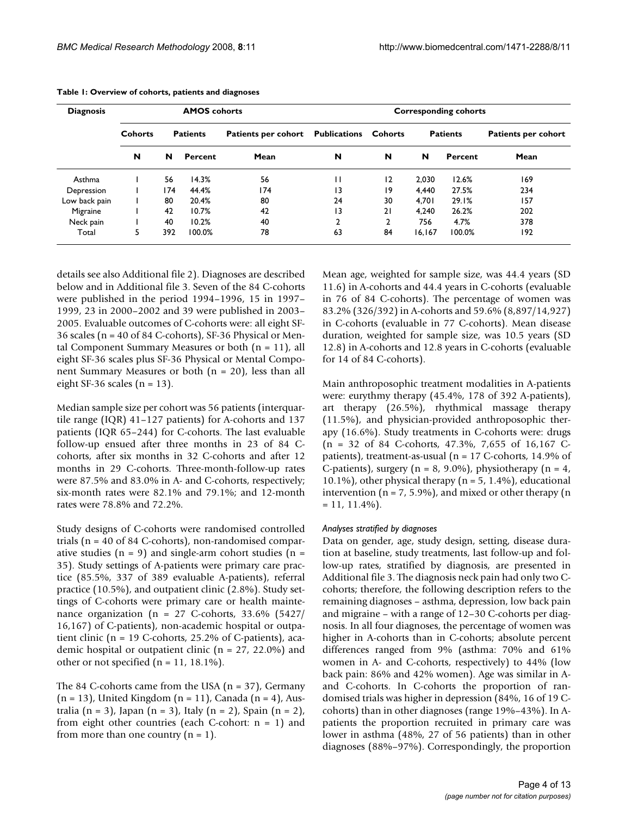| <b>Diagnosis</b> |                                   |     | <b>AMOS</b> cohorts        |                     | <b>Corresponding cohorts</b> |                 |         |                            |      |  |  |  |
|------------------|-----------------------------------|-----|----------------------------|---------------------|------------------------------|-----------------|---------|----------------------------|------|--|--|--|
|                  | <b>Cohorts</b><br><b>Patients</b> |     | <b>Patients per cohort</b> | <b>Publications</b> | Cohorts                      | <b>Patients</b> |         | <b>Patients per cohort</b> |      |  |  |  |
|                  | N                                 | N   | Percent                    | Mean                | N                            | N               | N       | Percent                    | Mean |  |  |  |
| Asthma           |                                   | 56  | 14.3%                      | 56                  | $\mathsf{H}$                 | $\overline{2}$  | 2.030   | 12.6%                      | 169  |  |  |  |
| Depression       |                                   | 174 | 44.4%                      | 174                 | $\overline{13}$              | 19              | 4.440   | 27.5%                      | 234  |  |  |  |
| Low back pain    |                                   | 80  | 20.4%                      | 80                  | 24                           | 30              | 4.701   | 29.1%                      | 157  |  |  |  |
| Migraine         |                                   | 42  | 10.7%                      | 42                  | $\overline{13}$              | 21              | 4.240   | 26.2%                      | 202  |  |  |  |
| Neck pain        |                                   | 40  | 10.2%                      | 40                  | $\mathbf{2}$                 | ኀ               | 756     | 4.7%                       | 378  |  |  |  |
| Total            | 5                                 | 392 | 100.0%                     | 78                  | 63                           | 84              | 16, 167 | 100.0%                     | 192  |  |  |  |

**Table 1: Overview of cohorts, patients and diagnoses**

details see also Additional file 2). Diagnoses are described below and in Additional file 3. Seven of the 84 C-cohorts were published in the period 1994–1996, 15 in 1997– 1999, 23 in 2000–2002 and 39 were published in 2003– 2005. Evaluable outcomes of C-cohorts were: all eight SF-36 scales (n = 40 of 84 C-cohorts), SF-36 Physical or Mental Component Summary Measures or both (n = 11), all eight SF-36 scales plus SF-36 Physical or Mental Component Summary Measures or both (n = 20), less than all eight SF-36 scales ( $n = 13$ ).

Median sample size per cohort was 56 patients (interquartile range (IQR) 41–127 patients) for A-cohorts and 137 patients (IQR 65–244) for C-cohorts. The last evaluable follow-up ensued after three months in 23 of 84 Ccohorts, after six months in 32 C-cohorts and after 12 months in 29 C-cohorts. Three-month-follow-up rates were 87.5% and 83.0% in A- and C-cohorts, respectively; six-month rates were 82.1% and 79.1%; and 12-month rates were 78.8% and 72.2%.

Study designs of C-cohorts were randomised controlled trials (n = 40 of 84 C-cohorts), non-randomised comparative studies ( $n = 9$ ) and single-arm cohort studies ( $n =$ 35). Study settings of A-patients were primary care practice (85.5%, 337 of 389 evaluable A-patients), referral practice (10.5%), and outpatient clinic (2.8%). Study settings of C-cohorts were primary care or health maintenance organization (n = 27 C-cohorts, 33.6% (5427/ 16,167) of C-patients), non-academic hospital or outpatient clinic (n = 19 C-cohorts, 25.2% of C-patients), academic hospital or outpatient clinic ( $n = 27, 22.0\%$ ) and other or not specified ( $n = 11, 18.1\%$ ).

The 84 C-cohorts came from the USA  $(n = 37)$ , Germany  $(n = 13)$ , United Kingdom  $(n = 11)$ , Canada  $(n = 4)$ , Australia (n = 3), Japan (n = 3), Italy (n = 2), Spain (n = 2), from eight other countries (each C-cohort:  $n = 1$ ) and from more than one country  $(n = 1)$ .

Mean age, weighted for sample size, was 44.4 years (SD 11.6) in A-cohorts and 44.4 years in C-cohorts (evaluable in 76 of 84 C-cohorts). The percentage of women was 83.2% (326/392) in A-cohorts and 59.6% (8,897/14,927) in C-cohorts (evaluable in 77 C-cohorts). Mean disease duration, weighted for sample size, was 10.5 years (SD 12.8) in A-cohorts and 12.8 years in C-cohorts (evaluable for 14 of 84 C-cohorts).

Main anthroposophic treatment modalities in A-patients were: eurythmy therapy (45.4%, 178 of 392 A-patients), art therapy (26.5%), rhythmical massage therapy (11.5%), and physician-provided anthroposophic therapy (16.6%). Study treatments in C-cohorts were: drugs (n = 32 of 84 C-cohorts, 47.3%, 7,655 of 16,167 Cpatients), treatment-as-usual (n = 17 C-cohorts, 14.9% of C-patients), surgery ( $n = 8$ , 9.0%), physiotherapy ( $n = 4$ , 10.1%), other physical therapy ( $n = 5$ , 1.4%), educational intervention ( $n = 7, 5.9\%$ ), and mixed or other therapy ( $n$  $= 11, 11.4\%$ ).

#### *Analyses stratified by diagnoses*

Data on gender, age, study design, setting, disease duration at baseline, study treatments, last follow-up and follow-up rates, stratified by diagnosis, are presented in Additional file 3. The diagnosis neck pain had only two Ccohorts; therefore, the following description refers to the remaining diagnoses – asthma, depression, low back pain and migraine – with a range of 12–30 C-cohorts per diagnosis. In all four diagnoses, the percentage of women was higher in A-cohorts than in C-cohorts; absolute percent differences ranged from 9% (asthma: 70% and 61% women in A- and C-cohorts, respectively) to 44% (low back pain: 86% and 42% women). Age was similar in Aand C-cohorts. In C-cohorts the proportion of randomised trials was higher in depression (84%, 16 of 19 Ccohorts) than in other diagnoses (range 19%–43%). In Apatients the proportion recruited in primary care was lower in asthma (48%, 27 of 56 patients) than in other diagnoses (88%–97%). Correspondingly, the proportion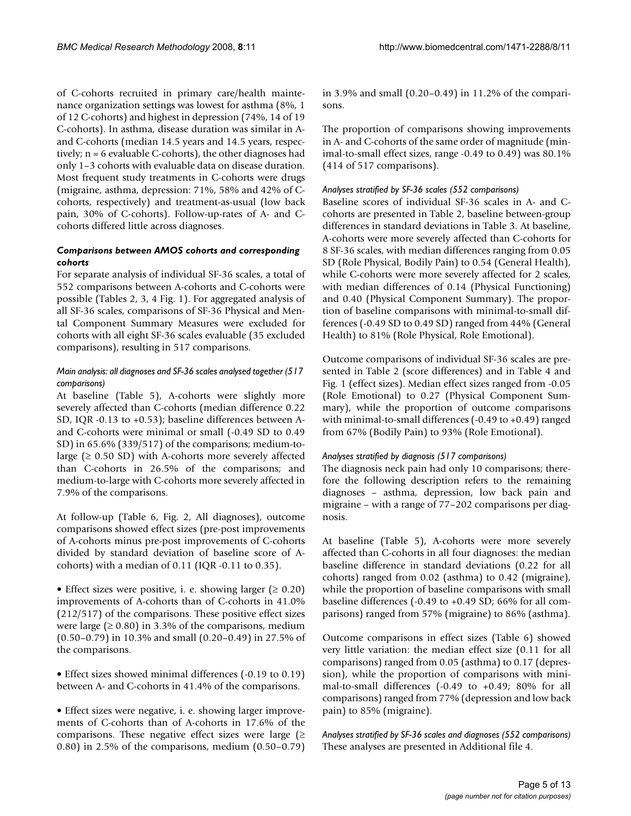of C-cohorts recruited in primary care/health maintenance organization settings was lowest for asthma (8%, 1 of 12 C-cohorts) and highest in depression (74%, 14 of 19 C-cohorts). In asthma, disease duration was similar in Aand C-cohorts (median 14.5 years and 14.5 years, respectively; n = 6 evaluable C-cohorts), the other diagnoses had only 1–3 cohorts with evaluable data on disease duration. Most frequent study treatments in C-cohorts were drugs (migraine, asthma, depression: 71%, 58% and 42% of Ccohorts, respectively) and treatment-as-usual (low back pain, 30% of C-cohorts). Follow-up-rates of A- and Ccohorts differed little across diagnoses.

#### *Comparisons between AMOS cohorts and corresponding cohorts*

For separate analysis of individual SF-36 scales, a total of 552 comparisons between A-cohorts and C-cohorts were possible (Tables 2, 3, 4 Fig. 1). For aggregated analysis of all SF-36 scales, comparisons of SF-36 Physical and Mental Component Summary Measures were excluded for cohorts with all eight SF-36 scales evaluable (35 excluded comparisons), resulting in 517 comparisons.

### *Main analysis: all diagnoses and SF-36 scales analysed together (517 comparisons)*

At baseline (Table 5), A-cohorts were slightly more severely affected than C-cohorts (median difference 0.22 SD, IQR -0.13 to +0.53); baseline differences between Aand C-cohorts were minimal or small (-0.49 SD to 0.49 SD) in 65.6% (339/517) of the comparisons; medium-tolarge ( $\geq$  0.50 SD) with A-cohorts more severely affected than C-cohorts in 26.5% of the comparisons; and medium-to-large with C-cohorts more severely affected in 7.9% of the comparisons.

At follow-up (Table 6, Fig. 2, All diagnoses), outcome comparisons showed effect sizes (pre-post improvements of A-cohorts minus pre-post improvements of C-cohorts divided by standard deviation of baseline score of Acohorts) with a median of  $0.11$  (IQR -0.11 to  $0.35$ ).

• Effect sizes were positive, i. e. showing larger ( $\geq 0.20$ ) improvements of A-cohorts than of C-cohorts in 41.0% (212/517) of the comparisons. These positive effect sizes were large  $(≥ 0.80)$  in 3.3% of the comparisons, medium (0.50–0.79) in 10.3% and small (0.20–0.49) in 27.5% of the comparisons.

• Effect sizes showed minimal differences (-0.19 to 0.19) between A- and C-cohorts in 41.4% of the comparisons.

• Effect sizes were negative, i. e. showing larger improvements of C-cohorts than of A-cohorts in 17.6% of the comparisons. These negative effect sizes were large  $(≥$ 0.80) in 2.5% of the comparisons, medium (0.50–0.79) in 3.9% and small (0.20–0.49) in 11.2% of the comparisons.

The proportion of comparisons showing improvements in A- and C-cohorts of the same order of magnitude (minimal-to-small effect sizes, range -0.49 to 0.49) was 80.1% (414 of 517 comparisons).

### *Analyses stratified by SF-36 scales (552 comparisons)*

Baseline scores of individual SF-36 scales in A- and Ccohorts are presented in Table 2, baseline between-group differences in standard deviations in Table 3. At baseline, A-cohorts were more severely affected than C-cohorts for 8 SF-36 scales, with median differences ranging from 0.05 SD (Role Physical, Bodily Pain) to 0.54 (General Health), while C-cohorts were more severely affected for 2 scales, with median differences of 0.14 (Physical Functioning) and 0.40 (Physical Component Summary). The proportion of baseline comparisons with minimal-to-small differences (-0.49 SD to 0.49 SD) ranged from 44% (General Health) to 81% (Role Physical, Role Emotional).

Outcome comparisons of individual SF-36 scales are presented in Table 2 (score differences) and in Table 4 and Fig. 1 (effect sizes). Median effect sizes ranged from -0.05 (Role Emotional) to 0.27 (Physical Component Summary), while the proportion of outcome comparisons with minimal-to-small differences (-0.49 to +0.49) ranged from 67% (Bodily Pain) to 93% (Role Emotional).

#### *Analyses stratified by diagnosis (517 comparisons)*

The diagnosis neck pain had only 10 comparisons; therefore the following description refers to the remaining diagnoses – asthma, depression, low back pain and migraine – with a range of 77–202 comparisons per diagnosis.

At baseline (Table 5), A-cohorts were more severely affected than C-cohorts in all four diagnoses: the median baseline difference in standard deviations (0.22 for all cohorts) ranged from 0.02 (asthma) to 0.42 (migraine), while the proportion of baseline comparisons with small baseline differences (-0.49 to +0.49 SD; 66% for all comparisons) ranged from 57% (migraine) to 86% (asthma).

Outcome comparisons in effect sizes (Table 6) showed very little variation: the median effect size (0.11 for all comparisons) ranged from 0.05 (asthma) to 0.17 (depression), while the proportion of comparisons with minimal-to-small differences (-0.49 to +0.49; 80% for all comparisons) ranged from 77% (depression and low back pain) to 85% (migraine).

*Analyses stratified by SF-36 scales and diagnoses (552 comparisons)* These analyses are presented in Additional file 4.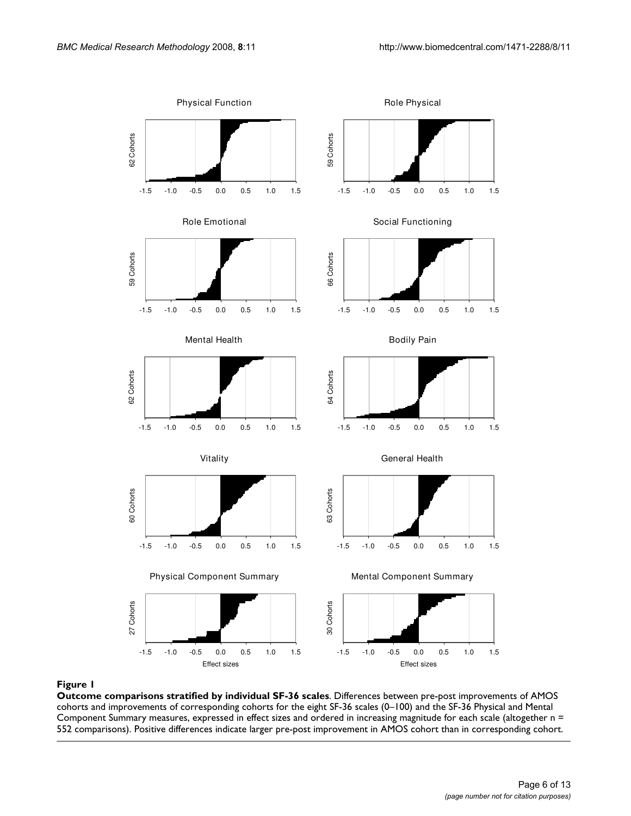

#### **Figure 1**

**Outcome comparisons stratified by individual SF-36 scales**. Differences between pre-post improvements of AMOS cohorts and improvements of corresponding cohorts for the eight SF-36 scales (0–100) and the SF-36 Physical and Mental Component Summary measures, expressed in effect sizes and ordered in increasing magnitude for each scale (altogether n = 552 comparisons). Positive differences indicate larger pre-post improvement in AMOS cohort than in corresponding cohort.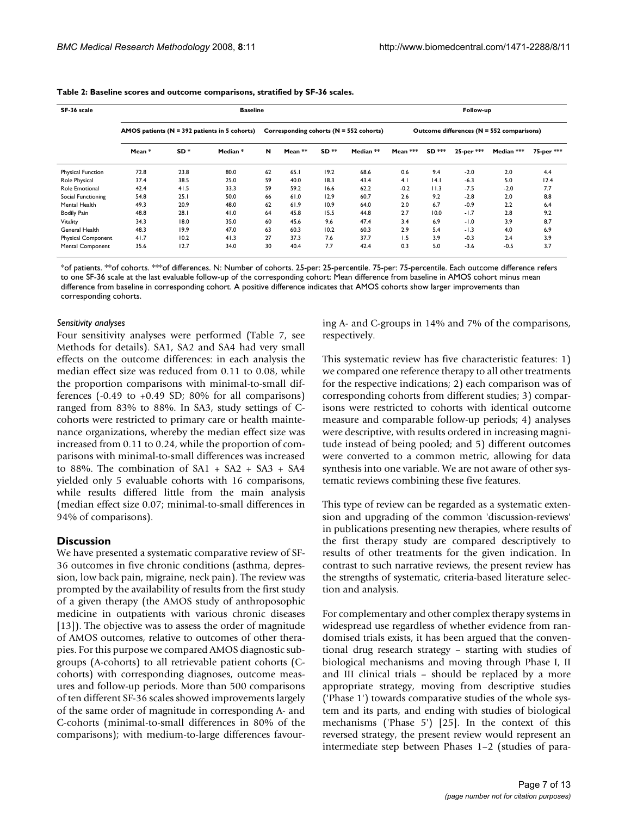| SF-36 scale               |       |       | <b>Baseline</b>                                  |    | Follow-up |                  |                                         |                                           |         |            |            |            |  |
|---------------------------|-------|-------|--------------------------------------------------|----|-----------|------------------|-----------------------------------------|-------------------------------------------|---------|------------|------------|------------|--|
|                           |       |       | AMOS patients ( $N = 392$ patients in 5 cohorts) |    |           |                  | Corresponding cohorts (N = 552 cohorts) | Outcome differences (N = 552 comparisons) |         |            |            |            |  |
|                           | Mean* | $SD*$ | Median*                                          | N  | Mean **   | SD <sup>**</sup> | Median <sup>**</sup>                    | Mean ***                                  | $SD***$ | 25-per *** | Median *** | 75-per *** |  |
| <b>Physical Function</b>  | 72.8  | 23.8  | 80.0                                             | 62 | 65.1      | 19.2             | 68.6                                    | 0.6                                       | 9.4     | $-2.0$     | 2.0        | 4.4        |  |
| Role Physical             | 37.4  | 38.5  | 25.0                                             | 59 | 40.0      | 18.3             | 43.4                                    | 4.1                                       | 4.1     | $-6.3$     | 5.0        | 12.4       |  |
| Role Emotional            | 42.4  | 41.5  | 33.3                                             | 59 | 59.2      | 16.6             | 62.2                                    | $-0.2$                                    | 11.3    | $-7.5$     | $-2.0$     | 7.7        |  |
| Social Functioning        | 54.8  | 25.1  | 50.0                                             | 66 | 61.0      | 12.9             | 60.7                                    | 2.6                                       | 9.2     | $-2.8$     | 2.0        | 8.8        |  |
| Mental Health             | 49.3  | 20.9  | 48.0                                             | 62 | 61.9      | 10.9             | 64.0                                    | 2.0                                       | 6.7     | $-0.9$     | 2.2        | 6.4        |  |
| <b>Bodily Pain</b>        | 48.8  | 28.1  | 41.0                                             | 64 | 45.8      | 15.5             | 44.8                                    | 2.7                                       | 10.0    | $-1.7$     | 2.8        | 9.2        |  |
| Vitality                  | 34.3  | 18.0  | 35.0                                             | 60 | 45.6      | 9.6              | 47.4                                    | 3.4                                       | 6.9     | $-1.0$     | 3.9        | 8.7        |  |
| General Health            | 48.3  | 19.9  | 47.0                                             | 63 | 60.3      | 10.2             | 60.3                                    | 2.9                                       | 5.4     | $-1.3$     | 4.0        | 6.9        |  |
| <b>Physical Component</b> | 41.7  | 10.2  | 41.3                                             | 27 | 37.3      | 7.6              | 37.7                                    | 1.5                                       | 3.9     | $-0.3$     | 2.4        | 3.9        |  |
| <b>Mental Component</b>   | 35.6  | 12.7  | 34.0                                             | 30 | 40.4      | 7.7              | 42.4                                    | 0.3                                       | 5.0     | $-3.6$     | $-0.5$     | 3.7        |  |

\*of patients. \*\*of cohorts. \*\*\*of differences. N: Number of cohorts. 25-per: 25-percentile. 75-per: 75-percentile. Each outcome difference refers to one SF-36 scale at the last evaluable follow-up of the corresponding cohort: Mean difference from baseline in AMOS cohort minus mean difference from baseline in corresponding cohort. A positive difference indicates that AMOS cohorts show larger improvements than corresponding cohorts.

#### *Sensitivity analyses*

Four sensitivity analyses were performed (Table 7, see Methods for details). SA1, SA2 and SA4 had very small effects on the outcome differences: in each analysis the median effect size was reduced from 0.11 to 0.08, while the proportion comparisons with minimal-to-small differences (-0.49 to +0.49 SD; 80% for all comparisons) ranged from 83% to 88%. In SA3, study settings of Ccohorts were restricted to primary care or health maintenance organizations, whereby the median effect size was increased from 0.11 to 0.24, while the proportion of comparisons with minimal-to-small differences was increased to 88%. The combination of  $SA1 + SA2 + SA3 + SA4$ yielded only 5 evaluable cohorts with 16 comparisons, while results differed little from the main analysis (median effect size 0.07; minimal-to-small differences in 94% of comparisons).

#### **Discussion**

We have presented a systematic comparative review of SF-36 outcomes in five chronic conditions (asthma, depression, low back pain, migraine, neck pain). The review was prompted by the availability of results from the first study of a given therapy (the AMOS study of anthroposophic medicine in outpatients with various chronic diseases [13]). The objective was to assess the order of magnitude of AMOS outcomes, relative to outcomes of other therapies. For this purpose we compared AMOS diagnostic subgroups (A-cohorts) to all retrievable patient cohorts (Ccohorts) with corresponding diagnoses, outcome measures and follow-up periods. More than 500 comparisons of ten different SF-36 scales showed improvements largely of the same order of magnitude in corresponding A- and C-cohorts (minimal-to-small differences in 80% of the comparisons); with medium-to-large differences favouring A- and C-groups in 14% and 7% of the comparisons, respectively.

This systematic review has five characteristic features: 1) we compared one reference therapy to all other treatments for the respective indications; 2) each comparison was of corresponding cohorts from different studies; 3) comparisons were restricted to cohorts with identical outcome measure and comparable follow-up periods; 4) analyses were descriptive, with results ordered in increasing magnitude instead of being pooled; and 5) different outcomes were converted to a common metric, allowing for data synthesis into one variable. We are not aware of other systematic reviews combining these five features.

This type of review can be regarded as a systematic extension and upgrading of the common 'discussion-reviews' in publications presenting new therapies, where results of the first therapy study are compared descriptively to results of other treatments for the given indication. In contrast to such narrative reviews, the present review has the strengths of systematic, criteria-based literature selection and analysis.

For complementary and other complex therapy systems in widespread use regardless of whether evidence from randomised trials exists, it has been argued that the conventional drug research strategy – starting with studies of biological mechanisms and moving through Phase I, II and III clinical trials – should be replaced by a more appropriate strategy, moving from descriptive studies ('Phase 1') towards comparative studies of the whole system and its parts, and ending with studies of biological mechanisms ('Phase 5') [25]. In the context of this reversed strategy, the present review would represent an intermediate step between Phases 1–2 (studies of para-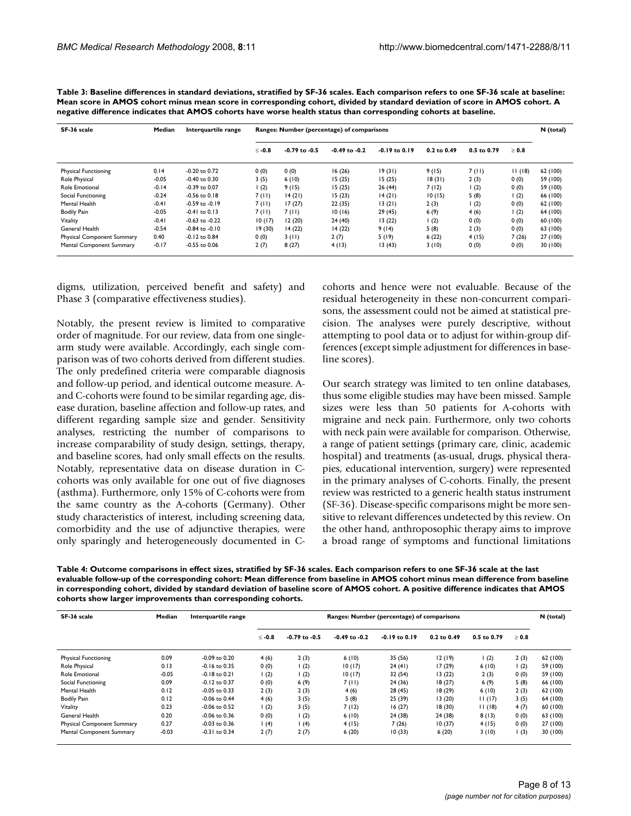| SF-36 scale                | Median<br>Interquartile range<br>Ranges: Number (percentage) of comparisons<br>$-0.79$ to $-0.5$<br>$\leq$ -0.8<br>$-0.49$ to $-0.2$<br>$-0.19$ to $0.19$<br>$0.2$ to $0.49$<br>$0.5$ to $0.79$<br>$\geq 0.8$ |                    |        |        |         |        |        | N (total) |        |          |
|----------------------------|---------------------------------------------------------------------------------------------------------------------------------------------------------------------------------------------------------------|--------------------|--------|--------|---------|--------|--------|-----------|--------|----------|
|                            |                                                                                                                                                                                                               |                    |        |        |         |        |        |           |        |          |
| Physical Functioning       | 0.14                                                                                                                                                                                                          | $-0.20$ to $0.72$  | 0(0)   | 0(0)   | 16(26)  | 19(31) | 9(15)  | 7(11)     | 11(18) | 62 (100) |
| Role Physical              | $-0.05$                                                                                                                                                                                                       | $-0.40$ to $0.30$  | 3(5)   | 6(10)  | 15(25)  | 15(25) | 18(31) | 2(3)      | 0(0)   | 59 (100) |
| Role Emotional             | $-0.14$                                                                                                                                                                                                       | $-0.39$ to 0.07    | (2)    | 9(15)  | 15(25)  | 26(44) | 7(12)  | (2)       | 0(0)   | 59 (100) |
| Social Functioning         | $-0.24$                                                                                                                                                                                                       | $-0.56$ to $0.18$  | 7(11)  | 14(21) | 15(23)  | 14(21) | 10(15) | 5(8)      | (2)    | 66 (100) |
| Mental Health              | $-0.41$                                                                                                                                                                                                       | $-0.59$ to $-0.19$ | 7(11)  | 17(27) | 22(35)  | 13(21) | 2(3)   | (2)       | 0(0)   | 62 (100) |
| <b>Bodily Pain</b>         | $-0.05$                                                                                                                                                                                                       | $-0.41$ to 0.13    | 7 (11) | 7(11)  | 10(16)  | 29(45) | 6(9)   | 4(6)      | (2)    | 64 (100) |
| Vitality                   | $-0.41$                                                                                                                                                                                                       | $-0.63$ to $-0.22$ | 10(17) | 12(20) | 24 (40) | 13(22) | (2)    | 0(0)      | 0(0)   | 60 (100) |
| General Health             | $-0.54$                                                                                                                                                                                                       | $-0.84$ to $-0.10$ | 19(30) | 14(22) | 14(22)  | 9(14)  | 5(8)   | 2(3)      | 0(0)   | 63 (100) |
| Physical Component Summary | 0.40                                                                                                                                                                                                          | $-0.12$ to $0.84$  | 0(0)   | 3(11)  | 2(7)    | 5(19)  | 6(22)  | 4(15)     | 7(26)  | 27 (100) |
| Mental Component Summary   | $-0.17$                                                                                                                                                                                                       | $-0.55$ to $0.06$  | 2(7)   | 8(27)  | 4(13)   | 13(43) | 3(10)  | 0(0)      | 0(0)   | 30 (100) |

**Table 3: Baseline differences in standard deviations, stratified by SF-36 scales. Each comparison refers to one SF-36 scale at baseline: Mean score in AMOS cohort minus mean score in corresponding cohort, divided by standard deviation of score in AMOS cohort. A negative difference indicates that AMOS cohorts have worse health status than corresponding cohorts at baseline.**

digms, utilization, perceived benefit and safety) and Phase 3 (comparative effectiveness studies).

Notably, the present review is limited to comparative order of magnitude. For our review, data from one singlearm study were available. Accordingly, each single comparison was of two cohorts derived from different studies. The only predefined criteria were comparable diagnosis and follow-up period, and identical outcome measure. Aand C-cohorts were found to be similar regarding age, disease duration, baseline affection and follow-up rates, and different regarding sample size and gender. Sensitivity analyses, restricting the number of comparisons to increase comparability of study design, settings, therapy, and baseline scores, had only small effects on the results. Notably, representative data on disease duration in Ccohorts was only available for one out of five diagnoses (asthma). Furthermore, only 15% of C-cohorts were from the same country as the A-cohorts (Germany). Other study characteristics of interest, including screening data, comorbidity and the use of adjunctive therapies, were only sparingly and heterogeneously documented in C-

cohorts and hence were not evaluable. Because of the residual heterogeneity in these non-concurrent comparisons, the assessment could not be aimed at statistical precision. The analyses were purely descriptive, without attempting to pool data or to adjust for within-group differences (except simple adjustment for differences in baseline scores).

Our search strategy was limited to ten online databases, thus some eligible studies may have been missed. Sample sizes were less than 50 patients for A-cohorts with migraine and neck pain. Furthermore, only two cohorts with neck pain were available for comparison. Otherwise, a range of patient settings (primary care, clinic, academic hospital) and treatments (as-usual, drugs, physical therapies, educational intervention, surgery) were represented in the primary analyses of C-cohorts. Finally, the present review was restricted to a generic health status instrument (SF-36). Disease-specific comparisons might be more sensitive to relevant differences undetected by this review. On the other hand, anthroposophic therapy aims to improve a broad range of symptoms and functional limitations

**Table 4: Outcome comparisons in effect sizes, stratified by SF-36 scales. Each comparison refers to one SF-36 scale at the last evaluable follow-up of the corresponding cohort: Mean difference from baseline in AMOS cohort minus mean difference from baseline in corresponding cohort, divided by standard deviation of baseline score of AMOS cohort. A positive difference indicates that AMOS cohorts show larger improvements than corresponding cohorts.**

| SF-36 scale                | Median  | Interguartile range | Ranges: Number (percentage) of comparisons |                   |                   |                   |                 |                 |            |          |  |  |
|----------------------------|---------|---------------------|--------------------------------------------|-------------------|-------------------|-------------------|-----------------|-----------------|------------|----------|--|--|
|                            |         |                     | $\leq -0.8$                                | $-0.79$ to $-0.5$ | $-0.49$ to $-0.2$ | $-0.19$ to $0.19$ | $0.2$ to $0.49$ | $0.5$ to $0.79$ | $\geq 0.8$ |          |  |  |
| Physical Functioning       | 0.09    | $-0.09$ to $0.20$   | 4(6)                                       | 2(3)              | 6(10)             | 35 (56)           | 12(19)          | (2)             | 2(3)       | 62 (100) |  |  |
| Role Physical              | 0.13    | $-0.16$ to $0.35$   | 0(0)                                       | (2)               | 10(17)            | 24(41)            | 17(29)          | 6(10)           | (2)        | 59 (100) |  |  |
| Role Emotional             | $-0.05$ | $-0.18$ to 0.21     | (2)                                        | $\vert$ (2)       | 10(17)            | 32(54)            | 13(22)          | 2(3)            | 0(0)       | 59 (100) |  |  |
| Social Functioning         | 0.09    | $-0.12$ to 0.37     | 0(0)                                       | 6(9)              | 7 (II)            | 24 (36)           | 18(27)          | 6(9)            | 5(8)       | 66 (100) |  |  |
| Mental Health              | 0.12    | $-0.05$ to 0.33     | 2(3)                                       | 2(3)              | 4(6)              | 28 (45)           | 18(29)          | 6(10)           | 2(3)       | 62 (100) |  |  |
| <b>Bodily Pain</b>         | 0.12    | $-0.06$ to $0.44$   | 4(6)                                       | 3(5)              | 5(8)              | 25(39)            | 13(20)          | 11(17)          | 3(5)       | 64 (100) |  |  |
| Vitality                   | 0.23    | $-0.06$ to $0.52$   | (2)                                        | 3(5)              | 7(12)             | 16(27)            | 18(30)          | 11(18)          | 4(7)       | 60 (100) |  |  |
| General Health             | 0.20    | $-0.06$ to $0.36$   | 0(0)                                       | (2)               | 6(10)             | 24 (38)           | 24 (38)         | 8(13)           | 0(0)       | 63 (100) |  |  |
| Physical Component Summary | 0.27    | $-0.03$ to 0.36     | (4)                                        | (4)               | 4(15)             | 7 (26)            | 10(37)          | 4(15)           | 0(0)       | 27 (100) |  |  |
| Mental Component Summary   | $-0.03$ | $-0.31$ to 0.34     | 2(7)                                       | 2(7)              | 6(20)             | 10(33)            | 6(20)           | 3(10)           | (3)        | 30 (100) |  |  |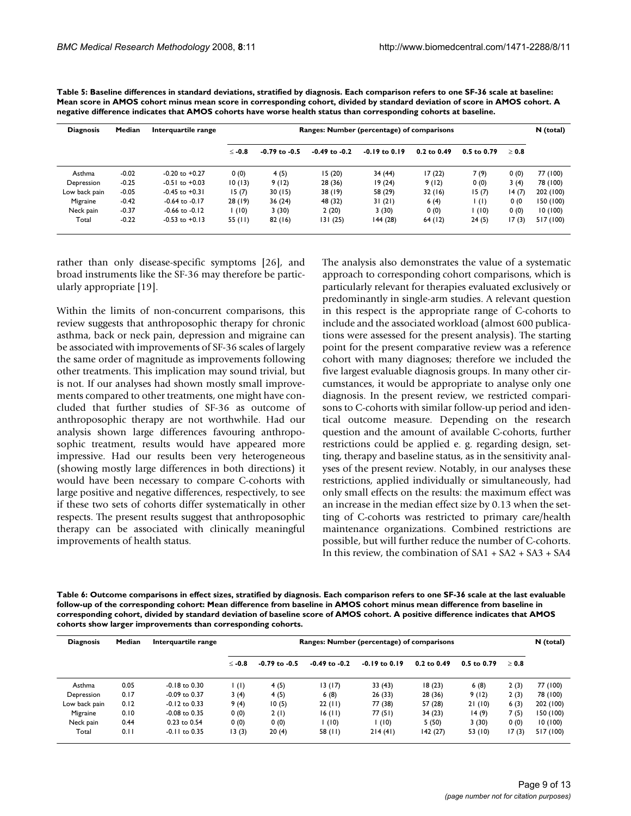| <b>Diagnosis</b> | Median  | Interguartile range<br>Ranges: Number (percentage) of comparisons |          |                   |                   |                 |                 |                          |       |           |
|------------------|---------|-------------------------------------------------------------------|----------|-------------------|-------------------|-----------------|-----------------|--------------------------|-------|-----------|
|                  |         |                                                                   | $<$ -0.8 | $-0.79$ to $-0.5$ | $-0.49$ to $-0.2$ | $-0.19$ to 0.19 | $0.2$ to $0.49$ | $0.5$ to $0.79$          | > 0.8 |           |
| Asthma           | $-0.02$ | $-0.20$ to $+0.27$                                                | 0(0)     | 4(5)              | 15(20)            | 34 (44)         | 17(22)          | 7(9)                     | 0(0)  | 77 (100)  |
| Depression       | $-0.25$ | $-0.51$ to $+0.03$                                                | 10(13)   | 9(12)             | 28(36)            | 19(24)          | 9(12)           | 0(0)                     | 3(4)  | 78 (100)  |
| Low back pain    | $-0.05$ | $-0.45$ to $+0.31$                                                | 15(7)    | 30(15)            | 38 (19)           | 58 (29)         | 32(16)          | 15(7)                    | 14(7) | 202 (100) |
| Migraine         | $-0.42$ | $-0.64$ to $-0.17$                                                | 28(19)   | 36(24)            | 48 (32)           | 31(21)          | 6(4)            | $\mathsf{I}(\mathsf{I})$ | 0(0)  | 150 (100) |
| Neck pain        | $-0.37$ | $-0.66$ to $-0.12$                                                | (10)     | 3(30)             | 2(20)             | 3(30)           | 0(0)            | (10)                     | 0(0)  | 10(100)   |
| Total            | $-0.22$ | $-0.53$ to $+0.13$                                                | 55 (11)  | 82(16)            | 131(25)           | 144 (28)        | 64 (12)         | 24(5)                    | 17(3) | 517 (100) |

**Table 5: Baseline differences in standard deviations, stratified by diagnosis. Each comparison refers to one SF-36 scale at baseline: Mean score in AMOS cohort minus mean score in corresponding cohort, divided by standard deviation of score in AMOS cohort. A negative difference indicates that AMOS cohorts have worse health status than corresponding cohorts at baseline.**

rather than only disease-specific symptoms [26], and broad instruments like the SF-36 may therefore be particularly appropriate [19].

Within the limits of non-concurrent comparisons, this review suggests that anthroposophic therapy for chronic asthma, back or neck pain, depression and migraine can be associated with improvements of SF-36 scales of largely the same order of magnitude as improvements following other treatments. This implication may sound trivial, but is not. If our analyses had shown mostly small improvements compared to other treatments, one might have concluded that further studies of SF-36 as outcome of anthroposophic therapy are not worthwhile. Had our analysis shown large differences favouring anthroposophic treatment, results would have appeared more impressive. Had our results been very heterogeneous (showing mostly large differences in both directions) it would have been necessary to compare C-cohorts with large positive and negative differences, respectively, to see if these two sets of cohorts differ systematically in other respects. The present results suggest that anthroposophic therapy can be associated with clinically meaningful improvements of health status.

The analysis also demonstrates the value of a systematic approach to corresponding cohort comparisons, which is particularly relevant for therapies evaluated exclusively or predominantly in single-arm studies. A relevant question in this respect is the appropriate range of C-cohorts to include and the associated workload (almost 600 publications were assessed for the present analysis). The starting point for the present comparative review was a reference cohort with many diagnoses; therefore we included the five largest evaluable diagnosis groups. In many other circumstances, it would be appropriate to analyse only one diagnosis. In the present review, we restricted comparisons to C-cohorts with similar follow-up period and identical outcome measure. Depending on the research question and the amount of available C-cohorts, further restrictions could be applied e. g. regarding design, setting, therapy and baseline status, as in the sensitivity analyses of the present review. Notably, in our analyses these restrictions, applied individually or simultaneously, had only small effects on the results: the maximum effect was an increase in the median effect size by 0.13 when the setting of C-cohorts was restricted to primary care/health maintenance organizations. Combined restrictions are possible, but will further reduce the number of C-cohorts. In this review, the combination of SA1 + SA2 + SA3 + SA4

**Table 6: Outcome comparisons in effect sizes, stratified by diagnosis. Each comparison refers to one SF-36 scale at the last evaluable follow-up of the corresponding cohort: Mean difference from baseline in AMOS cohort minus mean difference from baseline in corresponding cohort, divided by standard deviation of baseline score of AMOS cohort. A positive difference indicates that AMOS cohorts show larger improvements than corresponding cohorts.**

| <b>Diagnosis</b> | Median | Interguartile range | Ranges: Number (percentage) of comparisons |                   |                   |                   |                 |                 |       |           |  |  |
|------------------|--------|---------------------|--------------------------------------------|-------------------|-------------------|-------------------|-----------------|-----------------|-------|-----------|--|--|
|                  |        |                     | $<$ -0.8                                   | $-0.79$ to $-0.5$ | $-0.49$ to $-0.2$ | $-0.19$ to $0.19$ | $0.2$ to $0.49$ | $0.5$ to $0.79$ | > 0.8 |           |  |  |
| Asthma           | 0.05   | $-0.18$ to $0.30$   | l (I)                                      | 4(5)              | 13(17)            | 33(43)            | 18(23)          | 6(8)            | 2(3)  | 77 (100)  |  |  |
| Depression       | 0.17   | $-0.09$ to 0.37     | 3(4)                                       | 4(5)              | 6(8)              | 26(33)            | 28 (36)         | 9(12)           | 2(3)  | 78 (100)  |  |  |
| Low back pain    | 0.12   | $-0.12$ to 0.33     | 9(4)                                       | 10(5)             | 22 (11)           | 77 (38)           | 57 (28)         | 21(10)          | 6(3)  | 202 (100) |  |  |
| Migraine         | 0.10   | $-0.08$ to 0.35     | 0(0)                                       | 2(1)              | 16(11)            | 77 (51)           | 34(23)          | 14(9)           | 7(5)  | 150 (100) |  |  |
| Neck pain        | 0.44   | 0.23 to 0.54        | 0(0)                                       | 0(0)              | (10)              | (10)              | 5(50)           | 3(30)           | 0(0)  | 10(100)   |  |  |
| Total            | 0.11   | $-0.11$ to 0.35     | 13(3)                                      | 20(4)             | 58 (11)           | 214(41)           | 142(27)         | 53 (10)         | 17(3) | 517 (100) |  |  |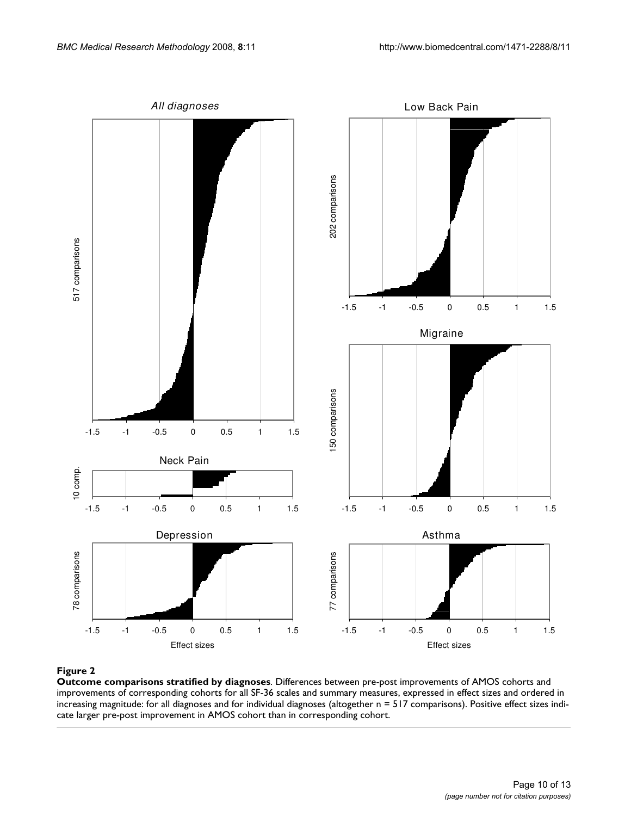

# **Figure 2**

**Outcome comparisons stratified by diagnoses**. Differences between pre-post improvements of AMOS cohorts and improvements of corresponding cohorts for all SF-36 scales and summary measures, expressed in effect sizes and ordered in increasing magnitude: for all diagnoses and for individual diagnoses (altogether n = 517 comparisons). Positive effect sizes indicate larger pre-post improvement in AMOS cohort than in corresponding cohort.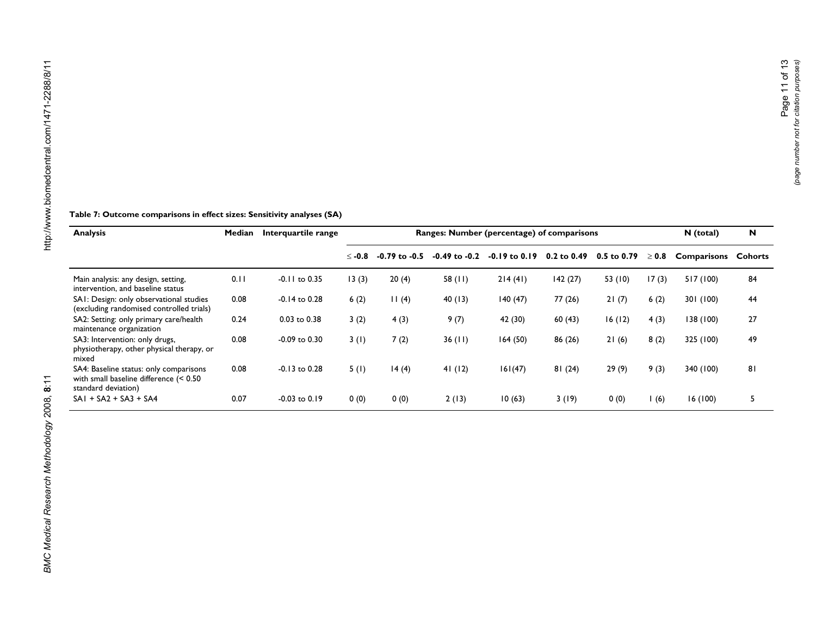|  | Table 7: Outcome comparisons in effect sizes: Sensitivity analyses (SA) |  |  |  |  |
|--|-------------------------------------------------------------------------|--|--|--|--|
|--|-------------------------------------------------------------------------|--|--|--|--|

| <b>Analysis</b>                                                                                         | <b>Median</b> | Interquartile range |          | Ranges: Number (percentage) of comparisons |                   | N (total)                     | N       |                 |            |                            |    |
|---------------------------------------------------------------------------------------------------------|---------------|---------------------|----------|--------------------------------------------|-------------------|-------------------------------|---------|-----------------|------------|----------------------------|----|
|                                                                                                         |               |                     | $<$ -0.8 | -0.79 to -0.5                              | $-0.49$ to $-0.2$ | $-0.19$ to $0.19$ 0.2 to 0.49 |         | $0.5$ to $0.79$ | $\geq$ 0.8 | <b>Comparisons Cohorts</b> |    |
| Main analysis: any design, setting,<br>intervention, and baseline status                                | 0.11          | $-0.11$ to 0.35     | 13(3)    | 20(4)                                      | 58 $(11)$         | 214(41)                       | 142(27) | 53 (10)         | 17(3)      | 517 (100)                  | 84 |
| SAI: Design: only observational studies<br>(excluding randomised controlled trials)                     | 0.08          | $-0.14$ to $0.28$   | 6(2)     | 11(4)                                      | 40(13)            | 140(47)                       | 77(26)  | 21(7)           | 6(2)       | 301 (100)                  | 44 |
| SA2: Setting: only primary care/health<br>maintenance organization                                      | 0.24          | $0.03$ to $0.38$    | 3(2)     | 4(3)                                       | 9(7)              | 42 (30)                       | 60(43)  | 16(12)          | 4(3)       | 138 (100)                  | 27 |
| SA3: Intervention: only drugs,<br>physiotherapy, other physical therapy, or<br>mixed                    | 0.08          | $-0.09$ to 0.30     | 3(1)     | 7(2)                                       | 36 (11)           | 164(50)                       | 86 (26) | 21(6)           | 8(2)       | 325 (100)                  | 49 |
| SA4: Baseline status: only comparisons<br>with small baseline difference (< 0.50<br>standard deviation) | 0.08          | $-0.13$ to 0.28     | 5(1)     | 14(4)                                      | 41(12)            | 161(47)                       | 81(24)  | 29(9)           | 9(3)       | 340 (100)                  | 81 |
| $SAI + SA2 + SA3 + SA4$                                                                                 | 0.07          | $-0.03$ to 0.19     | 0(0)     | 0(0)                                       | 2(13)             | 10(63)                        | 3(19)   | 0(0)            | (6)        | 16(100)                    | 5  |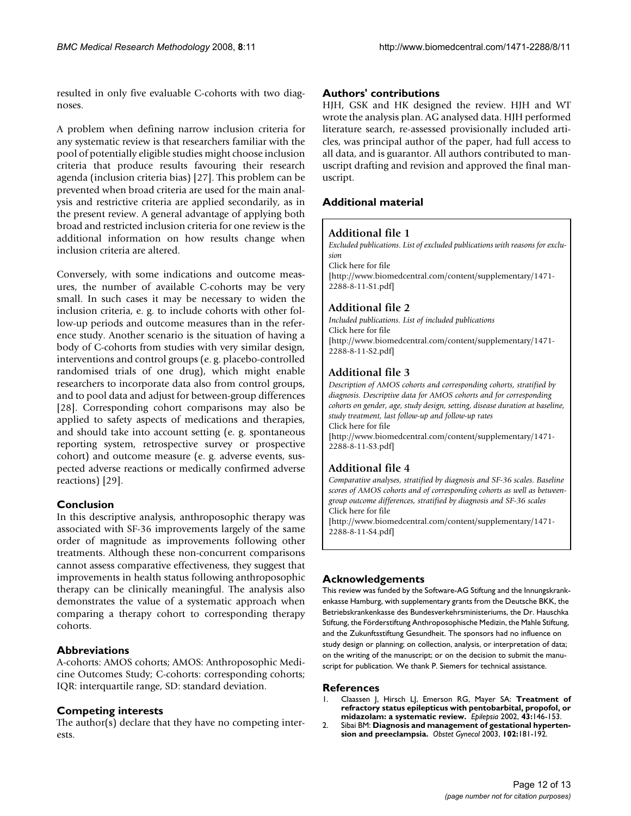resulted in only five evaluable C-cohorts with two diagnoses.

A problem when defining narrow inclusion criteria for any systematic review is that researchers familiar with the pool of potentially eligible studies might choose inclusion criteria that produce results favouring their research agenda (inclusion criteria bias) [27]. This problem can be prevented when broad criteria are used for the main analysis and restrictive criteria are applied secondarily, as in the present review. A general advantage of applying both broad and restricted inclusion criteria for one review is the additional information on how results change when inclusion criteria are altered.

Conversely, with some indications and outcome measures, the number of available C-cohorts may be very small. In such cases it may be necessary to widen the inclusion criteria, e. g. to include cohorts with other follow-up periods and outcome measures than in the reference study. Another scenario is the situation of having a body of C-cohorts from studies with very similar design, interventions and control groups (e. g. placebo-controlled randomised trials of one drug), which might enable researchers to incorporate data also from control groups, and to pool data and adjust for between-group differences [28]. Corresponding cohort comparisons may also be applied to safety aspects of medications and therapies, and should take into account setting (e. g. spontaneous reporting system, retrospective survey or prospective cohort) and outcome measure (e. g. adverse events, suspected adverse reactions or medically confirmed adverse reactions) [29].

# **Conclusion**

In this descriptive analysis, anthroposophic therapy was associated with SF-36 improvements largely of the same order of magnitude as improvements following other treatments. Although these non-concurrent comparisons cannot assess comparative effectiveness, they suggest that improvements in health status following anthroposophic therapy can be clinically meaningful. The analysis also demonstrates the value of a systematic approach when comparing a therapy cohort to corresponding therapy cohorts.

# **Abbreviations**

A-cohorts: AMOS cohorts; AMOS: Anthroposophic Medicine Outcomes Study; C-cohorts: corresponding cohorts; IQR: interquartile range, SD: standard deviation.

# **Competing interests**

The author(s) declare that they have no competing interests.

# **Authors' contributions**

HJH, GSK and HK designed the review. HJH and WT wrote the analysis plan. AG analysed data. HJH performed literature search, re-assessed provisionally included articles, was principal author of the paper, had full access to all data, and is guarantor. All authors contributed to manuscript drafting and revision and approved the final manuscript.

# **Additional material**

# **Additional file 1**

*Excluded publications. List of excluded publications with reasons for exclusion*

Click here for file

[\[http://www.biomedcentral.com/content/supplementary/1471-](http://www.biomedcentral.com/content/supplementary/1471-2288-8-11-S1.pdf) 2288-8-11-S1.pdf]

# **Additional file 2**

*Included publications. List of included publications* Click here for file [\[http://www.biomedcentral.com/content/supplementary/1471-](http://www.biomedcentral.com/content/supplementary/1471-2288-8-11-S2.pdf) 2288-8-11-S2.pdf]

# **Additional file 3**

*Description of AMOS cohorts and corresponding cohorts, stratified by diagnosis. Descriptive data for AMOS cohorts and for corresponding cohorts on gender, age, study design, setting, disease duration at baseline, study treatment, last follow-up and follow-up rates* Click here for file [\[http://www.biomedcentral.com/content/supplementary/1471-](http://www.biomedcentral.com/content/supplementary/1471-2288-8-11-S3.pdf) 2288-8-11-S3.pdf]

# **Additional file 4**

*Comparative analyses, stratified by diagnosis and SF-36 scales. Baseline scores of AMOS cohorts and of corresponding cohorts as well as betweengroup outcome differences, stratified by diagnosis and SF-36 scales* Click here for file [\[http://www.biomedcentral.com/content/supplementary/1471-](http://www.biomedcentral.com/content/supplementary/1471-2288-8-11-S4.pdf) 2288-8-11-S4.pdf]

# **Acknowledgements**

This review was funded by the Software-AG Stiftung and the Innungskrankenkasse Hamburg, with supplementary grants from the Deutsche BKK, the Betriebskrankenkasse des Bundesverkehrsministeriums, the Dr. Hauschka Stiftung, the Förderstiftung Anthroposophische Medizin, the Mahle Stiftung, and the Zukunftsstiftung Gesundheit. The sponsors had no influence on study design or planning; on collection, analysis, or interpretation of data; on the writing of the manuscript; or on the decision to submit the manuscript for publication. We thank P. Siemers for technical assistance.

#### **References**

- 1. Claassen J, Hirsch LJ, Emerson RG, Mayer SA: **[Treatment of](http://www.ncbi.nlm.nih.gov/entrez/query.fcgi?cmd=Retrieve&db=PubMed&dopt=Abstract&list_uids=11903460) [refractory status epilepticus with pentobarbital, propofol, or](http://www.ncbi.nlm.nih.gov/entrez/query.fcgi?cmd=Retrieve&db=PubMed&dopt=Abstract&list_uids=11903460) [midazolam: a systematic review.](http://www.ncbi.nlm.nih.gov/entrez/query.fcgi?cmd=Retrieve&db=PubMed&dopt=Abstract&list_uids=11903460)** *Epilepsia* 2002, **43:**146-153.
- 2. Sibai BM: **[Diagnosis and management of gestational hyperten](http://www.ncbi.nlm.nih.gov/entrez/query.fcgi?cmd=Retrieve&db=PubMed&dopt=Abstract&list_uids=12850627)[sion and preeclampsia.](http://www.ncbi.nlm.nih.gov/entrez/query.fcgi?cmd=Retrieve&db=PubMed&dopt=Abstract&list_uids=12850627)** *Obstet Gynecol* 2003, **102:**181-192.